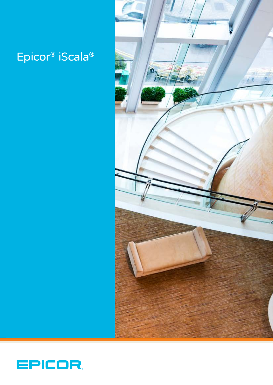## Epicor® iScala®



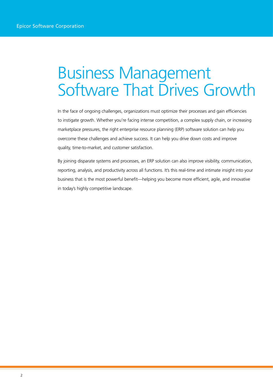# Business Management Software That Drives Growth

In the face of ongoing challenges, organizations must optimize their processes and gain efficiencies to instigate growth. Whether you're facing intense competition, a complex supply chain, or increasing marketplace pressures, the right enterprise resource planning (ERP) software solution can help you overcome these challenges and achieve success. It can help you drive down costs and improve quality, time-to-market, and customer satisfaction.

By joining disparate systems and processes, an ERP solution can also improve visibility, communication, reporting, analysis, and productivity across all functions. It's this real-time and intimate insight into your business that is the most powerful benefit—helping you become more efficient, agile, and innovative in today's highly competitive landscape.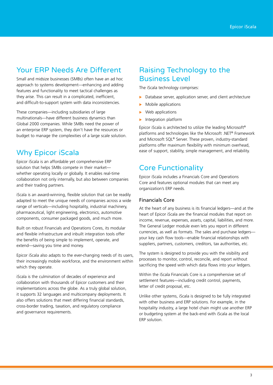## Your ERP Needs Are Different

Small and midsize businesses (SMBs) often have an ad hoc approach to systems development—enhancing and adding features and functionality to meet tactical challenges as they arise. This can result in a complicated, inefficient, and difficult-to-support system with data inconsistencies.

These companies—including subsidiaries of large multinationals—have different business dynamics than Global 2000 companies. While SMBs need the power of an enterprise ERP system, they don't have the resources or budget to manage the complexities of a large scale solution.

## Why Epicor iScala

Epicor iScala is an affordable yet comprehensive ERP solution that helps SMBs compete in their market whether operating locally or globally. It enables real-time collaboration not only internally, but also between companies and their trading partners.

iScala is an award-winning, flexible solution that can be readily adapted to meet the unique needs of companies across a wide range of verticals—including hospitality, industrial machinery, pharmaceutical, light engineering, electronics, automotive components, consumer packaged goods, and much more.

Built on robust Financials and Operations Cores, its modular and flexible infrastructure and inbuilt integration tools offer the benefits of being simple to implement, operate, and extend—saving you time and money.

Epicor iScala also adapts to the ever-changing needs of its users, their increasingly mobile workforce, and the environment within which they operate.

iScala is the culmination of decades of experience and collaboration with thousands of Epicor customers and their implementations across the globe. As a truly global solution, it supports 32 languages and multicompany deployments. It also offers solutions that meet differing financial standards, cross-border trading, taxation, and regulatory compliance and governance requirements.

## Raising Technology to the Business Level

The iScala technology comprises:

- $\triangleright$  Database server, application server, and client architecture
- Mobile applications
- Web applications
- $\blacktriangleright$  Integration platform

Epicor iScala is architected to utilize the leading Microsoft® platforms and technologies like the Microsoft .NET® Framework and Microsoft SQL® Server. These proven, industry-standard platforms offer maximum flexibility with minimum overhead, ease of support, stability, simple management, and reliability.

## Core Functionality

Epicor iScala includes a Financials Core and Operations Core and features optional modules that can meet any organization's ERP needs.

#### Financials Core

At the heart of any business is its financial ledgers—and at the heart of Epicor iScala are the financial modules that report on income, revenue, expenses, assets, capital, liabilities, and more. The General Ledger module even lets you report in different currencies, as well as formats. The sales and purchase ledgers your key cash flow tools—enable financial relationships with suppliers, partners, customers, creditors, tax authorities, etc.

The system is designed to provide you with the visibility and processes to monitor, control, reconcile, and report without sacrificing the speed with which data flows into your ledgers.

Within the iScala Financials Core is a comprehensive set of settlement features—including credit control, payments, letter of credit proposal, etc.

Unlike other systems, iScala is designed to be fully integrated with other business and ERP solutions. For example, in the hospitality industry, a large hotel chain might use another ERP or budgeting system at the back-end with iScala as the local ERP solution.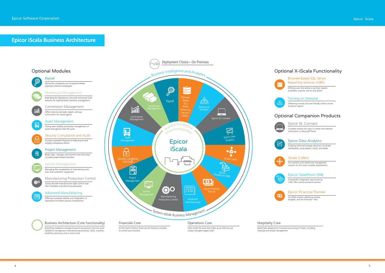## Optional Companion Products



# **Epicor iScala Business Architecture** Epicor iScala

An FP&A solution delivering actuals, budgets, and live forecasts—fast

#### Training on Demand

Delivering concise and user-friendly online courses by Epicor experts

Browser-Based SQL Server Reporting Services (SSRS)

Offering users the ability to see their reports anywhere, anytime, and on any device

#### Epicor Data Analytics

Enabling informed strategic decisions via simple dashboards, visual graphs, charts, and tables

#### Epicor StoreFront ONE

A powerful, integrated, easy-to-set-up CMS, PIM, and eCommerce solution

#### Epicor XL Connect

A simple solution for users to create and interpret information in Microsoft® Excel

#### Epicor Financial Planner

An inventory and warehouse management solution for the most complex requirements

#### iScala Collect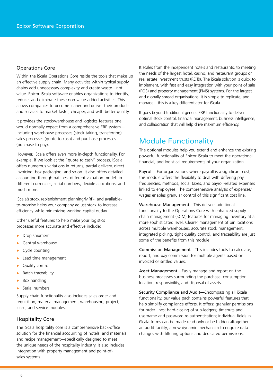#### Operations Core

Within the iScala Operations Core reside the tools that make up an effective supply chain. Many activities within typical supply chains add unnecessary complexity and create waste—not value. Epicor iScala software enables organizations to identify, reduce, and eliminate these non-value-added activities. This allows companies to become leaner and deliver their products and services to market faster, cheaper, and with better quality.

It provides the stock/warehouse and logistics features one would normally expect from a comprehensive ERP system including warehouse processes (stock taking, transferring), sales processes (quote to cash) and purchase processes (purchase to pay).

However, iScala offers even more in-depth functionality. For example, if we look at the "quote to cash" process, iScala offers numerous variations in returns, partial delivery, direct invoicing, box packaging, and so on. It also offers detailed accounting through batches, different valuation models in different currencies, serial numbers, flexible allocations, and much more.

iScala's stock replenishment planning/MRP-I and availableto-promise helps your company adjust stock to increase efficiency while minimizing working capital outlay.

Other useful features to help make your logistics processes more accurate and effective include:

- $\blacktriangleright$  Drop shipment
- $\blacktriangleright$  Central warehouse
- Cycle counting
- $\blacktriangleright$  Lead time management
- Quality control
- Batch traceability
- Box handling
- Serial numbers

Supply chain functionality also includes sales order and requisition, material management, warehousing, project, lease, and service modules.

#### Hospitality Core

The iScala hospitality core is a comprehensive back-office solution for the financial accounting of hotels, and materials and recipe management—specifically designed to meet the unique needs of the hospitality industry. It also includes integration with property management and point-ofsales systems.

It scales from the independent hotels and restaurants, to meeting the needs of the largest hotel, casino, and restaurant groups or real estate investment trusts (REITs). The iScala solution is quick to implement, with fast and easy integration with your point of sale (POS) and property management (PMS) systems. For the largest and globally spread organisations, it is simple to replicate, and manage—this is a key differentiator for iScala.

It goes beyond traditional generic ERP functionality to deliver optimal stock control, financial management, business intelligence, and collaboration that will help drive maximum efficiency.

## Module Functionality

The optional modules help you extend and enhance the existing powerful functionality of Epicor iScala to meet the operational, financial, and logistical requirements of your organization.

Payroll—For organizations where payroll is a significant cost, this module offers the flexibility to deal with differing pay frequencies, methods, social taxes, and payroll-related expenses linked to employees. The comprehensive analysis of expenses/ wages enables granular control of this significant cost line.

Warehouse Management—This delivers additional functionality to the Operations Core with enhanced supply chain management (SCM) features for managing inventory at a more sophisticated level. Clearer management of bin locations across multiple warehouses, accurate stock management, integrated picking, tight quality control, and traceability are just some of the benefits from this module.

Commission Management—This includes tools to calculate, report, and pay commission for multiple agents based on invoiced or settled values.

Asset Management—Easily manage and report on the business processes surrounding the purchase, consumption, location, responsibility, and disposal of assets.

Security Compliance and Audit—Encompassing all iScala functionality, our value pack contains powerful features that help simplify compliance efforts. It offers: granular permissions for order lines; hard-closing of sub-ledgers; timeouts and username and password re-authentication; individual fields in iScala forms can be made read-only or be hidden altogether; an audit facility; a new dynamic mechanism to enquire data changes with filtering options and dedicated permissions.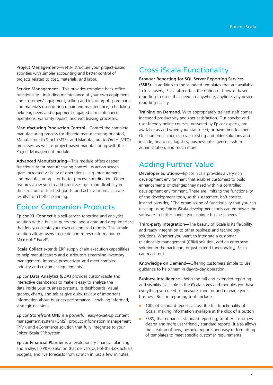Project Management—Better structure your project-based activities with simpler accounting and better control of projects related to cost, materials, and labor.

Service Management—This provides complete back-office functionality—including maintenance of your own equipment and customers' equipment, selling and invoicing of spare parts and materials used during repair and maintenance, scheduling field engineers and equipment engaged in maintenance operations, warranty repairs, and wet leasing processes.

Manufacturing Production Control—Control the complete manufacturing process for discrete manufacturing-oriented, Manufacture to Stock (MTS), and Manufacture to Order (MTO) processes, as well as project-based manufacturing with the Project Management module.

Advanced Manufacturing—This module offers deeper functionality for manufacturing control. Its action screen gives increased visibility of operations—e.g. procurement and manufacturing—for better process coordination. Other features allow you to add processes, get more flexibility in the structure of finished goods, and achieve more accurate results from better planning.

## Epicor Companion Products

Epicor XL Connect is a self-service reporting and analytics solution with a built-in query tool and a drag-and-drop interface that lets you create your own customized reports. This simple solution allows users to create and refresh information in Microsoft® Excel®.

iScala Collect extends ERP supply chain execution capabilities to help manufacturers and distributors streamline inventory management, improve productivity, and meet complex industry and customer requirements.

Epicor Data Analytics (EDA) provides customizable and interactive dashboards to make it easy to analyze the data inside your business systems. Its dashboards, visual graphs, charts, and tables give quick review of important information about business performance—enabling informed, strategic decisions.

Epicor Storefront ONE is a powerful, easy-to-set-up content management system (CMS), product information management (PIM), and eCommerce solution that fully integrates to your Epicor iScala ERP system.

Epicor Financial Planner is a revolutionary financial planning and analysis (FP&A) solution that delivers out-of-the-box actuals, budgets, and live forecasts from scratch in just a few minutes.

## Cross iScala Functionality

Browser Reporting for SQL Server Reporting Services (SSRS). In addition to the standard templates that are available to local users, iScala also offers the option of browser-based reporting to users that need an anywhere, anytime, any device reporting facility.

Training on Demand. With appropriately trained staff comes increased productivity and user satisfaction. Our concise and user-friendly online courses, delivered by Epicor experts, are available as and when your staff need, or have time for them. Our numerous courses cover existing and older solutions and include, financials, logistics, business intelligence, system administration, and much more.

## Adding Further Value

Developer Solutions**—**Epicor iScala provides a very rich development environment that enables customers to build enhancements or changes they need within a controlled development environment. There are limits to the functionality of the development tools, so this statement isn't correct. Instead consider, "The broad scope of functionality that you can develop using Epicor iScala development tools can empower the software to better handle your unique business needs."

Third-party Integration**—**The beauty of iScala is its flexibility and ready integration to other business and technology solutions. Whether you want to integrate a customer relationship management (CRM) solution, add an enterprise solution in the back-end, or just extend functionality, iScala can reach out.

Knowledge on Demand—Offering customers simple to use guidance to help them in day-to-day operation.

Business Intelligence—With the full and extended reporting and visibility available in the iScala cores and modules you have everything you need to measure, monitor and manage your business. Built-in reporting tools include:

- $\triangleright$  100s of standard reports across the full functionality of iScala, making information available at the click of a button
- $\triangleright$  SSRS, that enhances standard reporting, to offer customers clearer and more user-friendly standard reports. It also allows the creation of new, bespoke reports and easy re-formatting of templates to meet specific customer requirements